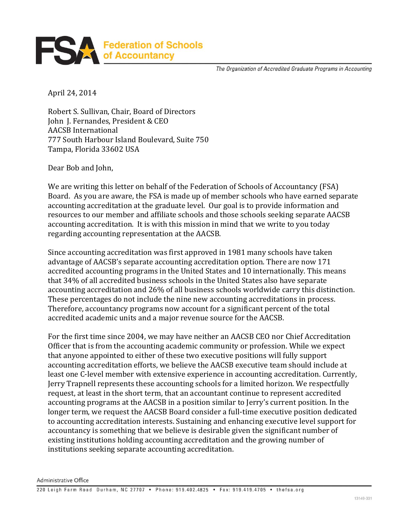

The Organization of Accredited Graduate Programs in Accounting

April 24, 2014

Robert S. Sullivan, Chair, Board of Directors John J. Fernandes, President & CEO AACSB International 777 South Harbour Island Boulevard, Suite 750 Tampa, Florida 33602 USA

Dear Bob and John,

We are writing this letter on behalf of the Federation of Schools of Accountancy (FSA) Board. As you are aware, the FSA is made up of member schools who have earned separate accounting accreditation at the graduate level. Our goal is to provide information and resources to our member and affiliate schools and those schools seeking separate AACSB accounting accreditation. It is with this mission in mind that we write to you today regarding accounting representation at the AACSB.

Since accounting accreditation was first approved in 1981 many schools have taken advantage of AACSB's separate accounting accreditation option. There are now 171 accredited accounting programs in the United States and 10 internationally. This means that 34% of all accredited business schools in the United States also have separate accounting accreditation and 26% of all business schools worldwide carry this distinction. These percentages do not include the nine new accounting accreditations in process. Therefore, accountancy programs now account for a significant percent of the total accredited academic units and a major revenue source for the AACSB.

For the first time since 2004, we may have neither an AACSB CEO nor Chief Accreditation Officer that is from the accounting academic community or profession. While we expect that anyone appointed to either of these two executive positions will fully support accounting accreditation efforts, we believe the AACSB executive team should include at least one C-level member with extensive experience in accounting accreditation. Currently, Jerry Trapnell represents these accounting schools for a limited horizon. We respectfully request, at least in the short term, that an accountant continue to represent accredited accounting programs at the AACSB in a position similar to Jerry's current position. In the longer term, we request the AACSB Board consider a full-time executive position dedicated to accounting accreditation interests. Sustaining and enhancing executive level support for accountancy is something that we believe is desirable given the significant number of existing institutions holding accounting accreditation and the growing number of institutions seeking separate accounting accreditation.

Administrative Office